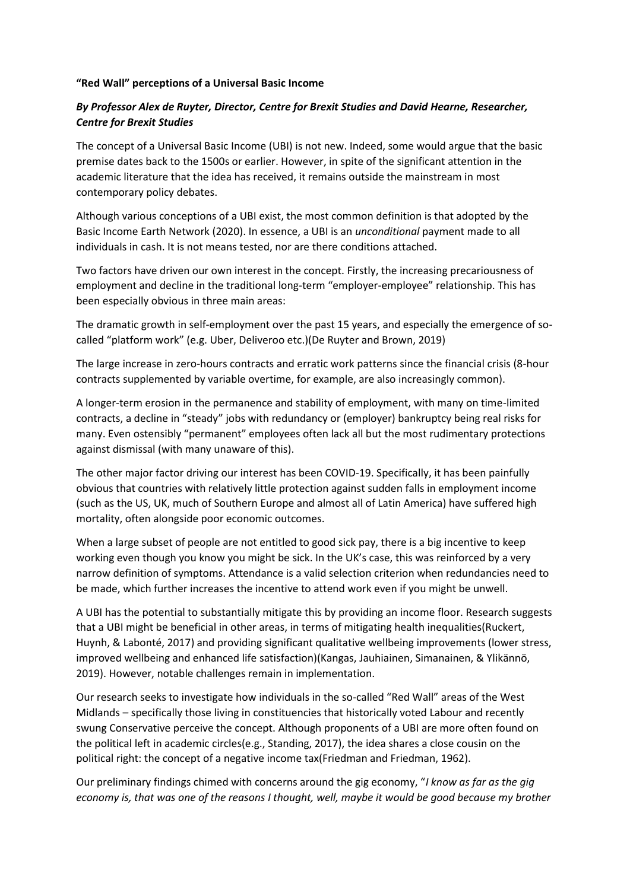## **"Red Wall" perceptions of a Universal Basic Income**

## *By Professor Alex de Ruyter, Director, Centre for Brexit Studies and David Hearne, Researcher, Centre for Brexit Studies*

The concept of a Universal Basic Income (UBI) is not new. Indeed, some would argue that the basic premise dates back to the 1500s or earlier. However, in spite of the significant attention in the academic literature that the idea has received, it remains outside the mainstream in most contemporary policy debates.

Although various conceptions of a UBI exist, the most common definition is that adopted by the Basic Income Earth Network (2020). In essence, a UBI is an *unconditional* payment made to all individuals in cash. It is not means tested, nor are there conditions attached.

Two factors have driven our own interest in the concept. Firstly, the increasing precariousness of employment and decline in the traditional long-term "employer-employee" relationship. This has been especially obvious in three main areas:

The dramatic growth in self-employment over the past 15 years, and especially the emergence of socalled "platform work" (e.g. Uber, Deliveroo etc.)(De Ruyter and Brown, 2019)

The large increase in zero-hours contracts and erratic work patterns since the financial crisis (8-hour contracts supplemented by variable overtime, for example, are also increasingly common).

A longer-term erosion in the permanence and stability of employment, with many on time-limited contracts, a decline in "steady" jobs with redundancy or (employer) bankruptcy being real risks for many. Even ostensibly "permanent" employees often lack all but the most rudimentary protections against dismissal (with many unaware of this).

The other major factor driving our interest has been COVID-19. Specifically, it has been painfully obvious that countries with relatively little protection against sudden falls in employment income (such as the US, UK, much of Southern Europe and almost all of Latin America) have suffered high mortality, often alongside poor economic outcomes.

When a large subset of people are not entitled to good sick pay, there is a big incentive to keep working even though you know you might be sick. In the UK's case, this was reinforced by a very narrow definition of symptoms. Attendance is a valid selection criterion when redundancies need to be made, which further increases the incentive to attend work even if you might be unwell.

A UBI has the potential to substantially mitigate this by providing an income floor. Research suggests that a UBI might be beneficial in other areas, in terms of mitigating health inequalities(Ruckert, Huynh, & Labonté, 2017) and providing significant qualitative wellbeing improvements (lower stress, improved wellbeing and enhanced life satisfaction)(Kangas, Jauhiainen, Simanainen, & Ylikännö, 2019). However, notable challenges remain in implementation.

Our research seeks to investigate how individuals in the so-called "Red Wall" areas of the West Midlands – specifically those living in constituencies that historically voted Labour and recently swung Conservative perceive the concept. Although proponents of a UBI are more often found on the political left in academic circles(e.g., Standing, 2017), the idea shares a close cousin on the political right: the concept of a negative income tax(Friedman and Friedman, 1962).

Our preliminary findings chimed with concerns around the gig economy, "*I know as far as the gig economy is, that was one of the reasons I thought, well, maybe it would be good because my brother*